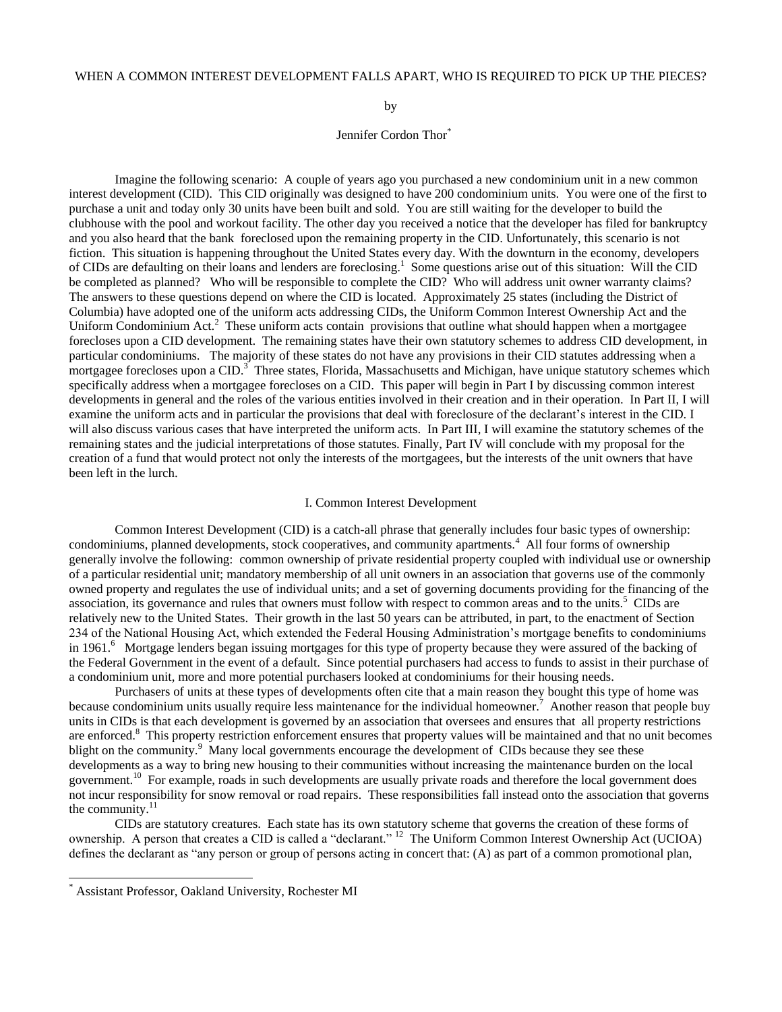# WHEN A COMMON INTEREST DEVELOPMENT FALLS APART, WHO IS REQUIRED TO PICK UP THE PIECES?

by

### Jennifer Cordon Thor<sup>\*</sup>

Imagine the following scenario: A couple of years ago you purchased a new condominium unit in a new common interest development (CID). This CID originally was designed to have 200 condominium units. You were one of the first to purchase a unit and today only 30 units have been built and sold. You are still waiting for the developer to build the clubhouse with the pool and workout facility. The other day you received a notice that the developer has filed for bankruptcy and you also heard that the bank foreclosed upon the remaining property in the CID. Unfortunately, this scenario is not fiction. This situation is happening throughout the United States every day. With the downturn in the economy, developers of CIDs are defaulting on their loans and lenders are foreclosing.<sup>1</sup> Some questions arise out of this situation: Will the CID be completed as planned? Who will be responsible to complete the CID? Who will address unit owner warranty claims? The answers to these questions depend on where the CID is located. Approximately 25 states (including the District of Columbia) have adopted one of the uniform acts addressing CIDs, the Uniform Common Interest Ownership Act and the Uniform Condominium Act.<sup>2</sup> These uniform acts contain provisions that outline what should happen when a mortgagee forecloses upon a CID development. The remaining states have their own statutory schemes to address CID development, in particular condominiums. The majority of these states do not have any provisions in their CID statutes addressing when a mortgagee forecloses upon a CID.<sup>3</sup> Three states, Florida, Massachusetts and Michigan, have unique statutory schemes which specifically address when a mortgagee forecloses on a CID. This paper will begin in Part I by discussing common interest developments in general and the roles of the various entities involved in their creation and in their operation. In Part II, I will examine the uniform acts and in particular the provisions that deal with foreclosure of the declarant's interest in the CID. I will also discuss various cases that have interpreted the uniform acts. In Part III, I will examine the statutory schemes of the remaining states and the judicial interpretations of those statutes. Finally, Part IV will conclude with my proposal for the creation of a fund that would protect not only the interests of the mortgagees, but the interests of the unit owners that have been left in the lurch.

#### I. Common Interest Development

Common Interest Development (CID) is a catch-all phrase that generally includes four basic types of ownership: condominiums, planned developments, stock cooperatives, and community apartments.<sup>4</sup> All four forms of ownership generally involve the following: common ownership of private residential property coupled with individual use or ownership of a particular residential unit; mandatory membership of all unit owners in an association that governs use of the commonly owned property and regulates the use of individual units; and a set of governing documents providing for the financing of the association, its governance and rules that owners must follow with respect to common areas and to the units.<sup>5</sup> CIDs are relatively new to the United States. Their growth in the last 50 years can be attributed, in part, to the enactment of Section 234 of the National Housing Act, which extended the Federal Housing Administration's mortgage benefits to condominiums in 1961.<sup>6</sup> Mortgage lenders began issuing mortgages for this type of property because they were assured of the backing of the Federal Government in the event of a default. Since potential purchasers had access to funds to assist in their purchase of a condominium unit, more and more potential purchasers looked at condominiums for their housing needs.

Purchasers of units at these types of developments often cite that a main reason they bought this type of home was because condominium units usually require less maintenance for the individual homeowner.<sup>7</sup> Another reason that people buy units in CIDs is that each development is governed by an association that oversees and ensures that all property restrictions are enforced.<sup>8</sup> This property restriction enforcement ensures that property values will be maintained and that no unit becomes blight on the community.<sup>9</sup> Many local governments encourage the development of CIDs because they see these developments as a way to bring new housing to their communities without increasing the maintenance burden on the local government. 10 For example, roads in such developments are usually private roads and therefore the local government does not incur responsibility for snow removal or road repairs. These responsibilities fall instead onto the association that governs the community.<sup>11</sup>

CIDs are statutory creatures. Each state has its own statutory scheme that governs the creation of these forms of ownership. A person that creates a CID is called a "declarant." <sup>12</sup> The Uniform Common Interest Ownership Act (UCIOA) defines the declarant as "any person or group of persons acting in concert that: (A) as part of a common promotional plan,

 $\overline{a}$ 

Assistant Professor, Oakland University, Rochester MI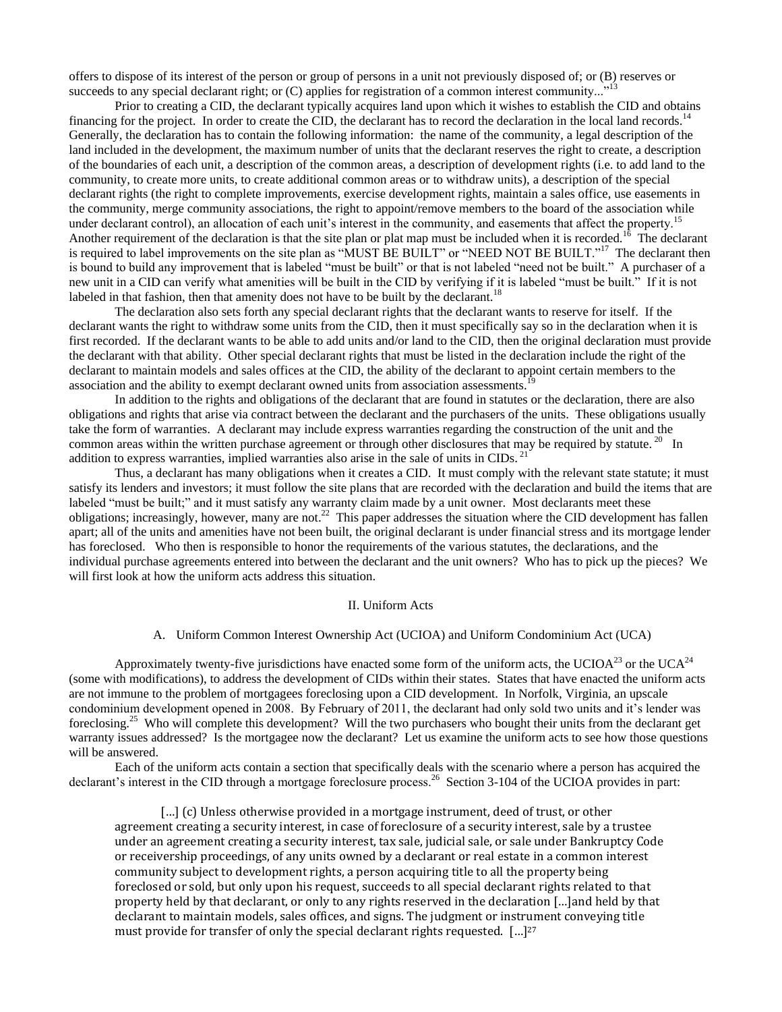offers to dispose of its interest of the person or group of persons in a unit not previously disposed of; or (B) reserves or succeeds to any special declarant right; or (C) applies for registration of a common interest community..."<sup>13</sup>

Prior to creating a CID, the declarant typically acquires land upon which it wishes to establish the CID and obtains financing for the project. In order to create the CID, the declarant has to record the declaration in the local land records.<sup>14</sup> Generally, the declaration has to contain the following information: the name of the community, a legal description of the land included in the development, the maximum number of units that the declarant reserves the right to create, a description of the boundaries of each unit, a description of the common areas, a description of development rights (i.e. to add land to the community, to create more units, to create additional common areas or to withdraw units), a description of the special declarant rights (the right to complete improvements, exercise development rights, maintain a sales office, use easements in the community, merge community associations, the right to appoint/remove members to the board of the association while under declarant control), an allocation of each unit's interest in the community, and easements that affect the property.<sup>15</sup> Another requirement of the declaration is that the site plan or plat map must be included when it is recorded.<sup>16</sup> The declarant is required to label improvements on the site plan as "MUST BE BUILT" or "NEED NOT BE BUILT."<sup>17</sup> The declarant then is bound to build any improvement that is labeled "must be built" or that is not labeled "need not be built." A purchaser of a new unit in a CID can verify what amenities will be built in the CID by verifying if it is labeled "must be built." If it is not labeled in that fashion, then that amenity does not have to be built by the declarant.<sup>18</sup>

The declaration also sets forth any special declarant rights that the declarant wants to reserve for itself. If the declarant wants the right to withdraw some units from the CID, then it must specifically say so in the declaration when it is first recorded. If the declarant wants to be able to add units and/or land to the CID, then the original declaration must provide the declarant with that ability. Other special declarant rights that must be listed in the declaration include the right of the declarant to maintain models and sales offices at the CID, the ability of the declarant to appoint certain members to the association and the ability to exempt declarant owned units from association assessments.<sup>19</sup>

In addition to the rights and obligations of the declarant that are found in statutes or the declaration, there are also obligations and rights that arise via contract between the declarant and the purchasers of the units. These obligations usually take the form of warranties. A declarant may include express warranties regarding the construction of the unit and the common areas within the written purchase agreement or through other disclosures that may be required by statute.<sup>20</sup> In addition to express warranties, implied warranties also arise in the sale of units in CIDs.<sup>21</sup>

Thus, a declarant has many obligations when it creates a CID. It must comply with the relevant state statute; it must satisfy its lenders and investors; it must follow the site plans that are recorded with the declaration and build the items that are labeled "must be built;" and it must satisfy any warranty claim made by a unit owner. Most declarants meet these obligations; increasingly, however, many are not.<sup>22</sup> This paper addresses the situation where the CID development has fallen apart; all of the units and amenities have not been built, the original declarant is under financial stress and its mortgage lender has foreclosed. Who then is responsible to honor the requirements of the various statutes, the declarations, and the individual purchase agreements entered into between the declarant and the unit owners? Who has to pick up the pieces? We will first look at how the uniform acts address this situation.

### II. Uniform Acts

### A. Uniform Common Interest Ownership Act (UCIOA) and Uniform Condominium Act (UCA)

Approximately twenty-five jurisdictions have enacted some form of the uniform acts, the UCIOA<sup>23</sup> or the UCA<sup>24</sup> (some with modifications), to address the development of CIDs within their states. States that have enacted the uniform acts are not immune to the problem of mortgagees foreclosing upon a CID development. In Norfolk, Virginia, an upscale condominium development opened in 2008. By February of 2011, the declarant had only sold two units and it's lender was foreclosing.<sup>25</sup> Who will complete this development? Will the two purchasers who bought their units from the declarant get warranty issues addressed? Is the mortgagee now the declarant? Let us examine the uniform acts to see how those questions will be answered.

Each of the uniform acts contain a section that specifically deals with the scenario where a person has acquired the declarant's interest in the CID through a mortgage foreclosure process.<sup>26</sup> Section 3-104 of the UCIOA provides in part:

[...] (c) Unless otherwise provided in a mortgage instrument, deed of trust, or other agreement creating a security interest, in case of foreclosure of a security interest, sale by a trustee under an agreement creating a security interest, tax sale, judicial sale, or sale under Bankruptcy Code or receivership proceedings, of any units owned by a declarant or real estate in a common interest community subject to development rights, a person acquiring title to all the property being foreclosed or sold, but only upon his request, succeeds to all special declarant rights related to that property held by that declarant, or only to any rights reserved in the declaration […]and held by that declarant to maintain models, sales offices, and signs. The judgment or instrument conveying title must provide for transfer of only the special declarant rights requested. […]<sup>27</sup>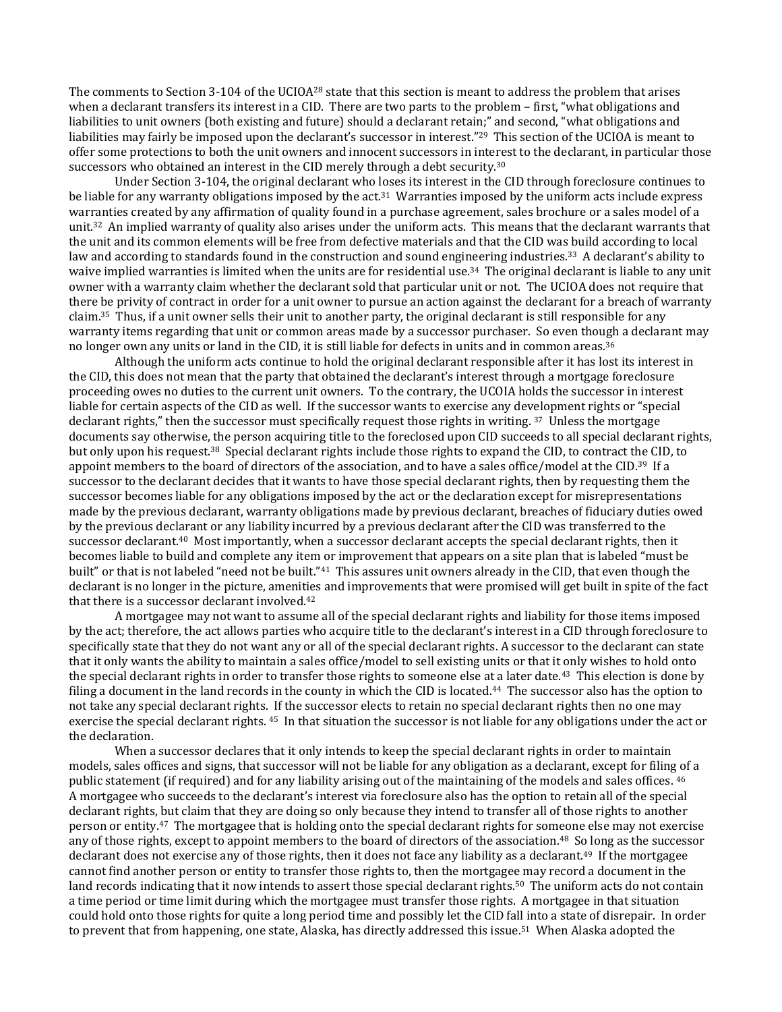The comments to Section 3-104 of the UCIOA<sup>28</sup> state that this section is meant to address the problem that arises when a declarant transfers its interest in a CID. There are two parts to the problem – first, "what obligations and liabilities to unit owners (both existing and future) should a declarant retain;" and second, "what obligations and liabilities may fairly be imposed upon the declarant's successor in interest."<sup>29</sup> This section of the UCIOA is meant to offer some protections to both the unit owners and innocent successors in interest to the declarant, in particular those successors who obtained an interest in the CID merely through a debt security.<sup>30</sup>

Under Section 3-104, the original declarant who loses its interest in the CID through foreclosure continues to be liable for any warranty obligations imposed by the act.<sup>31</sup> Warranties imposed by the uniform acts include express warranties created by any affirmation of quality found in a purchase agreement, sales brochure or a sales model of a unit.<sup>32</sup> An implied warranty of quality also arises under the uniform acts. This means that the declarant warrants that the unit and its common elements will be free from defective materials and that the CID was build according to local law and according to standards found in the construction and sound engineering industries.<sup>33</sup> A declarant's ability to waive implied warranties is limited when the units are for residential use.<sup>34</sup> The original declarant is liable to any unit owner with a warranty claim whether the declarant sold that particular unit or not. The UCIOA does not require that there be privity of contract in order for a unit owner to pursue an action against the declarant for a breach of warranty claim.35 Thus, if a unit owner sells their unit to another party, the original declarant is still responsible for any warranty items regarding that unit or common areas made by a successor purchaser. So even though a declarant may no longer own any units or land in the CID, it is still liable for defects in units and in common areas.<sup>36</sup>

Although the uniform acts continue to hold the original declarant responsible after it has lost its interest in the CID, this does not mean that the party that obtained the declarant's interest through a mortgage foreclosure proceeding owes no duties to the current unit owners. To the contrary, the UCOIA holds the successor in interest liable for certain aspects of the CID as well. If the successor wants to exercise any development rights or "special declarant rights," then the successor must specifically request those rights in writing. 37 Unless the mortgage documents say otherwise, the person acquiring title to the foreclosed upon CID succeeds to all special declarant rights, but only upon his request.38 Special declarant rights include those rights to expand the CID, to contract the CID, to appoint members to the board of directors of the association, and to have a sales office/model at the CID.39 If a successor to the declarant decides that it wants to have those special declarant rights, then by requesting them the successor becomes liable for any obligations imposed by the act or the declaration except for misrepresentations made by the previous declarant, warranty obligations made by previous declarant, breaches of fiduciary duties owed by the previous declarant or any liability incurred by a previous declarant after the CID was transferred to the successor declarant.40 Most importantly, when a successor declarant accepts the special declarant rights, then it becomes liable to build and complete any item or improvement that appears on a site plan that is labeled "must be built" or that is not labeled "need not be built."<sup>41</sup> This assures unit owners already in the CID, that even though the declarant is no longer in the picture, amenities and improvements that were promised will get built in spite of the fact that there is a successor declarant involved.<sup>42</sup>

A mortgagee may not want to assume all of the special declarant rights and liability for those items imposed by the act; therefore, the act allows parties who acquire title to the declarant's interest in a CID through foreclosure to specifically state that they do not want any or all of the special declarant rights. A successor to the declarant can state that it only wants the ability to maintain a sales office/model to sell existing units or that it only wishes to hold onto the special declarant rights in order to transfer those rights to someone else at a later date.<sup>43</sup> This election is done by filing a document in the land records in the county in which the CID is located.<sup>44</sup> The successor also has the option to not take any special declarant rights. If the successor elects to retain no special declarant rights then no one may exercise the special declarant rights. 45 In that situation the successor is not liable for any obligations under the act or the declaration.

When a successor declares that it only intends to keep the special declarant rights in order to maintain models, sales offices and signs, that successor will not be liable for any obligation as a declarant, except for filing of a public statement (if required) and for any liability arising out of the maintaining of the models and sales offices. <sup>46</sup> A mortgagee who succeeds to the declarant's interest via foreclosure also has the option to retain all of the special declarant rights, but claim that they are doing so only because they intend to transfer all of those rights to another person or entity.47 The mortgagee that is holding onto the special declarant rights for someone else may not exercise any of those rights, except to appoint members to the board of directors of the association.48 So long as the successor declarant does not exercise any of those rights, then it does not face any liability as a declarant.<sup>49</sup> If the mortgagee cannot find another person or entity to transfer those rights to, then the mortgagee may record a document in the land records indicating that it now intends to assert those special declarant rights.<sup>50</sup> The uniform acts do not contain a time period or time limit during which the mortgagee must transfer those rights. A mortgagee in that situation could hold onto those rights for quite a long period time and possibly let the CID fall into a state of disrepair. In order to prevent that from happening, one state, Alaska, has directly addressed this issue.51 When Alaska adopted the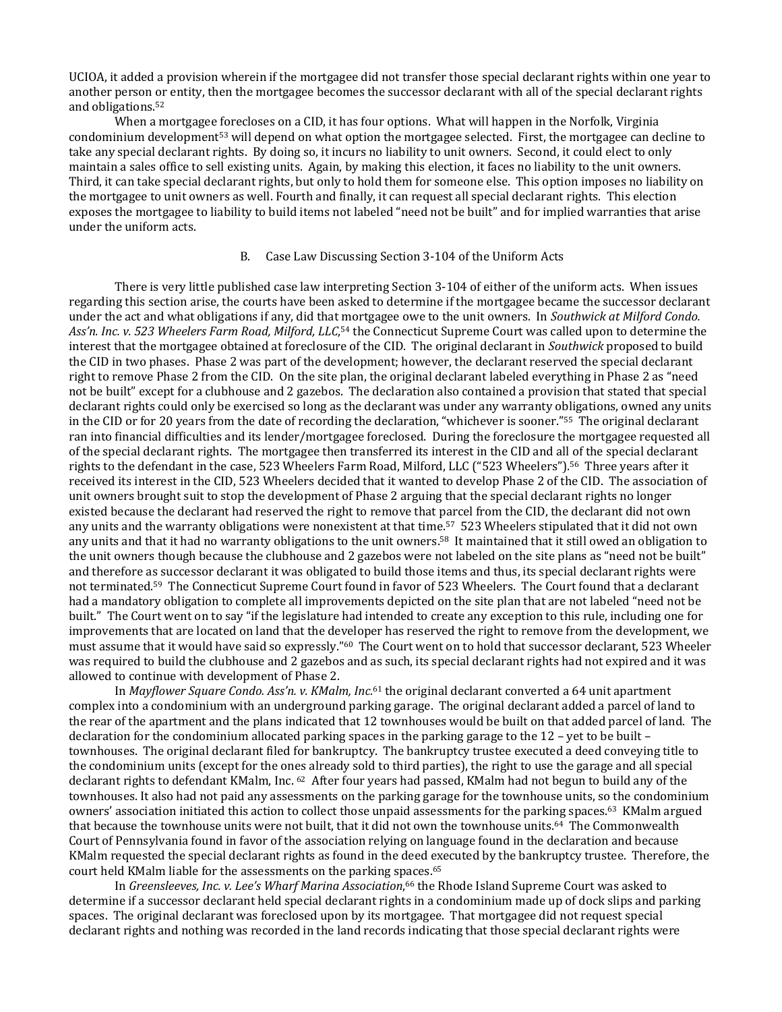UCIOA, it added a provision wherein if the mortgagee did not transfer those special declarant rights within one year to another person or entity, then the mortgagee becomes the successor declarant with all of the special declarant rights and obligations.<sup>52</sup>

When a mortgagee forecloses on a CID, it has four options. What will happen in the Norfolk, Virginia condominium development<sup>53</sup> will depend on what option the mortgagee selected. First, the mortgagee can decline to take any special declarant rights. By doing so, it incurs no liability to unit owners. Second, it could elect to only maintain a sales office to sell existing units. Again, by making this election, it faces no liability to the unit owners. Third, it can take special declarant rights, but only to hold them for someone else. This option imposes no liability on the mortgagee to unit owners as well. Fourth and finally, it can request all special declarant rights. This election exposes the mortgagee to liability to build items not labeled "need not be built" and for implied warranties that arise under the uniform acts.

## B. Case Law Discussing Section 3-104 of the Uniform Acts

There is very little published case law interpreting Section 3-104 of either of the uniform acts. When issues regarding this section arise, the courts have been asked to determine if the mortgagee became the successor declarant under the act and what obligations if any, did that mortgagee owe to the unit owners. In *Southwick at Milford Condo.*  Ass'n. Inc. v. 523 Wheelers Farm Road, Milford, LLC,<sup>54</sup> the Connecticut Supreme Court was called upon to determine the interest that the mortgagee obtained at foreclosure of the CID. The original declarant in *Southwick* proposed to build the CID in two phases. Phase 2 was part of the development; however, the declarant reserved the special declarant right to remove Phase 2 from the CID. On the site plan, the original declarant labeled everything in Phase 2 as "need not be built" except for a clubhouse and 2 gazebos. The declaration also contained a provision that stated that special declarant rights could only be exercised so long as the declarant was under any warranty obligations, owned any units in the CID or for 20 years from the date of recording the declaration, "whichever is sooner."55 The original declarant ran into financial difficulties and its lender/mortgagee foreclosed. During the foreclosure the mortgagee requested all of the special declarant rights. The mortgagee then transferred its interest in the CID and all of the special declarant rights to the defendant in the case, 523 Wheelers Farm Road, Milford, LLC ("523 Wheelers").56 Three years after it received its interest in the CID, 523 Wheelers decided that it wanted to develop Phase 2 of the CID. The association of unit owners brought suit to stop the development of Phase 2 arguing that the special declarant rights no longer existed because the declarant had reserved the right to remove that parcel from the CID, the declarant did not own any units and the warranty obligations were nonexistent at that time.57 523 Wheelers stipulated that it did not own any units and that it had no warranty obligations to the unit owners.58 It maintained that it still owed an obligation to the unit owners though because the clubhouse and 2 gazebos were not labeled on the site plans as "need not be built" and therefore as successor declarant it was obligated to build those items and thus, its special declarant rights were not terminated.59 The Connecticut Supreme Court found in favor of 523 Wheelers. The Court found that a declarant had a mandatory obligation to complete all improvements depicted on the site plan that are not labeled "need not be built." The Court went on to say "if the legislature had intended to create any exception to this rule, including one for improvements that are located on land that the developer has reserved the right to remove from the development, we must assume that it would have said so expressly."60 The Court went on to hold that successor declarant, 523 Wheeler was required to build the clubhouse and 2 gazebos and as such, its special declarant rights had not expired and it was allowed to continue with development of Phase 2.

In *Mayflower Square Condo. Ass'n. v. KMalm, Inc.*<sup>61</sup> the original declarant converted a 64 unit apartment complex into a condominium with an underground parking garage. The original declarant added a parcel of land to the rear of the apartment and the plans indicated that 12 townhouses would be built on that added parcel of land. The declaration for the condominium allocated parking spaces in the parking garage to the 12 – yet to be built – townhouses. The original declarant filed for bankruptcy. The bankruptcy trustee executed a deed conveying title to the condominium units (except for the ones already sold to third parties), the right to use the garage and all special declarant rights to defendant KMalm, Inc. 62 After four years had passed, KMalm had not begun to build any of the townhouses. It also had not paid any assessments on the parking garage for the townhouse units, so the condominium owners' association initiated this action to collect those unpaid assessments for the parking spaces.63 KMalm argued that because the townhouse units were not built, that it did not own the townhouse units.64 The Commonwealth Court of Pennsylvania found in favor of the association relying on language found in the declaration and because KMalm requested the special declarant rights as found in the deed executed by the bankruptcy trustee. Therefore, the court held KMalm liable for the assessments on the parking spaces.<sup>65</sup>

In *Greensleeves, Inc. v. Lee's Wharf Marina Association*, <sup>66</sup> the Rhode Island Supreme Court was asked to determine if a successor declarant held special declarant rights in a condominium made up of dock slips and parking spaces. The original declarant was foreclosed upon by its mortgagee. That mortgagee did not request special declarant rights and nothing was recorded in the land records indicating that those special declarant rights were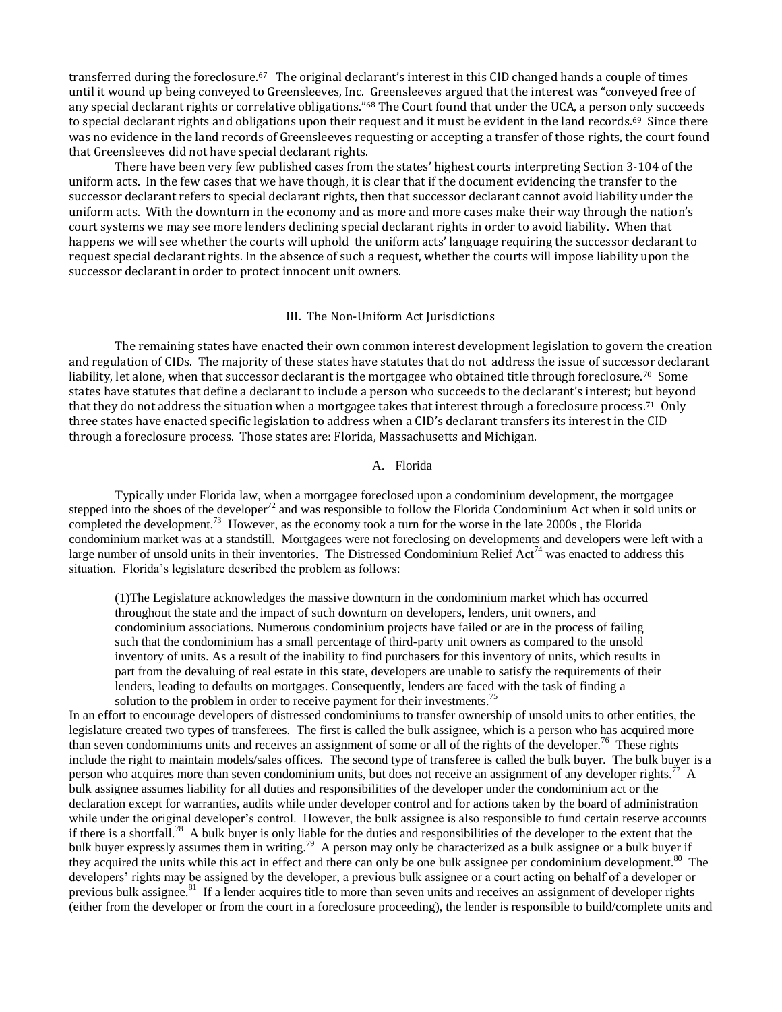transferred during the foreclosure.<sup>67</sup> The original declarant's interest in this CID changed hands a couple of times until it wound up being conveyed to Greensleeves, Inc. Greensleeves argued that the interest was "conveyed free of any special declarant rights or correlative obligations."<sup>68</sup> The Court found that under the UCA, a person only succeeds to special declarant rights and obligations upon their request and it must be evident in the land records.<sup>69</sup> Since there was no evidence in the land records of Greensleeves requesting or accepting a transfer of those rights, the court found that Greensleeves did not have special declarant rights.

There have been very few published cases from the states' highest courts interpreting Section 3-104 of the uniform acts. In the few cases that we have though, it is clear that if the document evidencing the transfer to the successor declarant refers to special declarant rights, then that successor declarant cannot avoid liability under the uniform acts. With the downturn in the economy and as more and more cases make their way through the nation's court systems we may see more lenders declining special declarant rights in order to avoid liability. When that happens we will see whether the courts will uphold the uniform acts' language requiring the successor declarant to request special declarant rights. In the absence of such a request, whether the courts will impose liability upon the successor declarant in order to protect innocent unit owners.

## III. The Non-Uniform Act Jurisdictions

The remaining states have enacted their own common interest development legislation to govern the creation and regulation of CIDs. The majority of these states have statutes that do not address the issue of successor declarant liability, let alone, when that successor declarant is the mortgagee who obtained title through foreclosure.<sup>70</sup> Some states have statutes that define a declarant to include a person who succeeds to the declarant's interest; but beyond that they do not address the situation when a mortgagee takes that interest through a foreclosure process.<sup>71</sup> Only three states have enacted specific legislation to address when a CID's declarant transfers its interest in the CID through a foreclosure process. Those states are: Florida, Massachusetts and Michigan.

A. Florida

Typically under Florida law, when a mortgagee foreclosed upon a condominium development, the mortgagee stepped into the shoes of the developer<sup>72</sup> and was responsible to follow the Florida Condominium Act when it sold units or completed the development.<sup>73</sup> However, as the economy took a turn for the worse in the late 2000s, the Florida condominium market was at a standstill. Mortgagees were not foreclosing on developments and developers were left with a large number of unsold units in their inventories. The Distressed Condominium Relief Act<sup>74</sup> was enacted to address this situation. Florida's legislature described the problem as follows:

(1)The Legislature acknowledges the massive downturn in the condominium market which has occurred throughout the state and the impact of such downturn on developers, lenders, unit owners, and condominium associations. Numerous condominium projects have failed or are in the process of failing such that the condominium has a small percentage of third-party unit owners as compared to the unsold inventory of units. As a result of the inability to find purchasers for this inventory of units, which results in part from the devaluing of real estate in this state, developers are unable to satisfy the requirements of their lenders, leading to defaults on mortgages. Consequently, lenders are faced with the task of finding a solution to the problem in order to receive payment for their investments.<sup>75</sup>

In an effort to encourage developers of distressed condominiums to transfer ownership of unsold units to other entities, the legislature created two types of transferees. The first is called the bulk assignee, which is a person who has acquired more than seven condominiums units and receives an assignment of some or all of the rights of the developer.<sup>76</sup> These rights include the right to maintain models/sales offices. The second type of transferee is called the bulk buyer. The bulk buyer is a person who acquires more than seven condominium units, but does not receive an assignment of any developer rights.<sup> $7\text{ }$ </sup> A bulk assignee assumes liability for all duties and responsibilities of the developer under the condominium act or the declaration except for warranties, audits while under developer control and for actions taken by the board of administration while under the original developer's control. However, the bulk assignee is also responsible to fund certain reserve accounts if there is a shortfall.<sup>78</sup> A bulk buyer is only liable for the duties and responsibilities of the developer to the extent that the bulk buyer expressly assumes them in writing.<sup>79</sup> A person may only be characterized as a bulk assignee or a bulk buyer if they acquired the units while this act in effect and there can only be one bulk assignee per condominium development.<sup>80</sup> The developers' rights may be assigned by the developer, a previous bulk assignee or a court acting on behalf of a developer or previous bulk assignee.<sup>81</sup> If a lender acquires title to more than seven units and receives an assignment of developer rights (either from the developer or from the court in a foreclosure proceeding), the lender is responsible to build/complete units and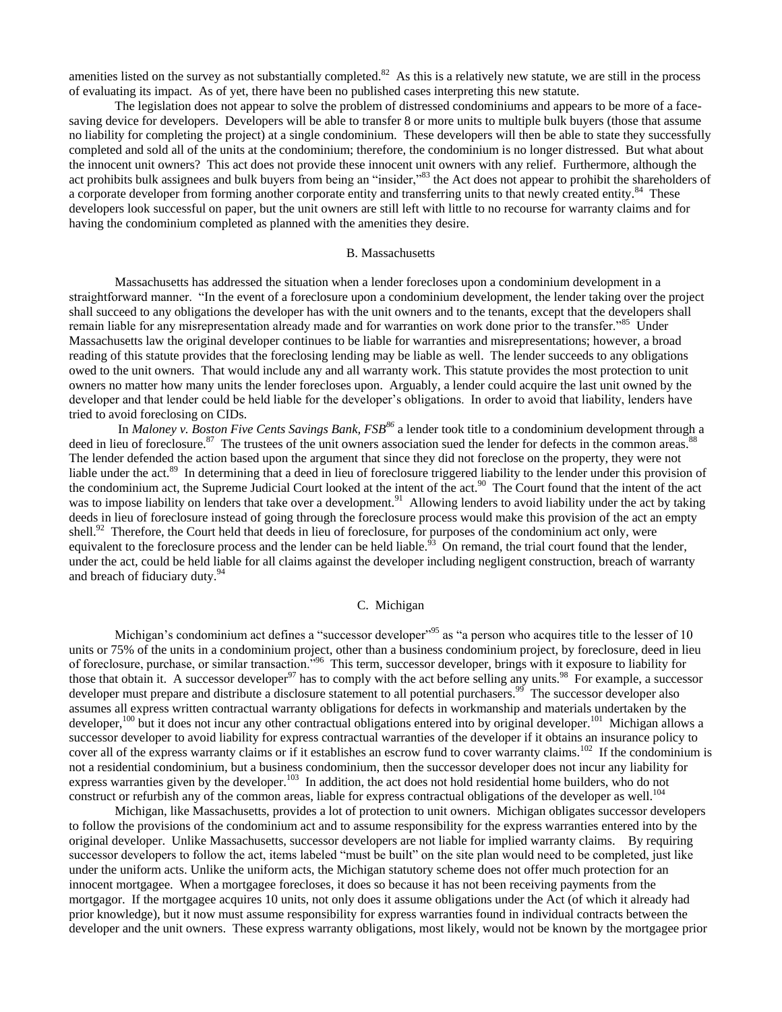amenities listed on the survey as not substantially completed.<sup>82</sup> As this is a relatively new statute, we are still in the process of evaluating its impact. As of yet, there have been no published cases interpreting this new statute.

The legislation does not appear to solve the problem of distressed condominiums and appears to be more of a facesaving device for developers. Developers will be able to transfer 8 or more units to multiple bulk buyers (those that assume no liability for completing the project) at a single condominium. These developers will then be able to state they successfully completed and sold all of the units at the condominium; therefore, the condominium is no longer distressed. But what about the innocent unit owners? This act does not provide these innocent unit owners with any relief. Furthermore, although the act prohibits bulk assignees and bulk buyers from being an "insider,"<sup>83</sup> the Act does not appear to prohibit the shareholders of a corporate developer from forming another corporate entity and transferring units to that newly created entity.<sup>84</sup> These developers look successful on paper, but the unit owners are still left with little to no recourse for warranty claims and for having the condominium completed as planned with the amenities they desire.

#### B. Massachusetts

Massachusetts has addressed the situation when a lender forecloses upon a condominium development in a straightforward manner. "In the event of a foreclosure upon a condominium development, the lender taking over the project shall succeed to any obligations the developer has with the unit owners and to the tenants, except that the developers shall remain liable for any misrepresentation already made and for warranties on work done prior to the transfer."<sup>85</sup> Under Massachusetts law the original developer continues to be liable for warranties and misrepresentations; however, a broad reading of this statute provides that the foreclosing lending may be liable as well. The lender succeeds to any obligations owed to the unit owners. That would include any and all warranty work. This statute provides the most protection to unit owners no matter how many units the lender forecloses upon. Arguably, a lender could acquire the last unit owned by the developer and that lender could be held liable for the developer's obligations. In order to avoid that liability, lenders have tried to avoid foreclosing on CIDs.

In *Maloney v. Boston Five Cents Savings Bank, FSB<sup>86</sup>* a lender took title to a condominium development through a deed in lieu of foreclosure.<sup>87</sup> The trustees of the unit owners association sued the lender for defects in the common areas.<sup>88</sup> The lender defended the action based upon the argument that since they did not foreclose on the property, they were not liable under the act.<sup>89</sup> In determining that a deed in lieu of foreclosure triggered liability to the lender under this provision of the condominium act, the Supreme Judicial Court looked at the intent of the act.<sup>90</sup> The Court found that the intent of the act was to impose liability on lenders that take over a development.<sup>91</sup> Allowing lenders to avoid liability under the act by taking deeds in lieu of foreclosure instead of going through the foreclosure process would make this provision of the act an empty shell.<sup>92</sup> Therefore, the Court held that deeds in lieu of foreclosure, for purposes of the condominium act only, were equivalent to the foreclosure process and the lender can be held liable.<sup> $93$ </sup> On remand, the trial court found that the lender, under the act, could be held liable for all claims against the developer including negligent construction, breach of warranty and breach of fiduciary duty.<sup>94</sup>

## C. Michigan

Michigan's condominium act defines a "successor developer"<sup>95</sup> as "a person who acquires title to the lesser of 10 units or 75% of the units in a condominium project, other than a business condominium project, by foreclosure, deed in lieu of foreclosure, purchase, or similar transaction."<sup>96</sup> This term, successor developer, brings with it exposure to liability for those that obtain it. A successor developer<sup>97</sup> has to comply with the act before selling any units.<sup>98</sup> For example, a successor developer must prepare and distribute a disclosure statement to all potential purchasers.<sup>99</sup> The successor developer also assumes all express written contractual warranty obligations for defects in workmanship and materials undertaken by the developer,<sup>100</sup> but it does not incur any other contractual obligations entered into by original developer.<sup>101</sup> Michigan allows a successor developer to avoid liability for express contractual warranties of the developer if it obtains an insurance policy to cover all of the express warranty claims or if it establishes an escrow fund to cover warranty claims.<sup>102</sup> If the condominium is not a residential condominium, but a business condominium, then the successor developer does not incur any liability for express warranties given by the developer.<sup>103</sup> In addition, the act does not hold residential home builders, who do not construct or refurbish any of the common areas, liable for express contractual obligations of the developer as well.<sup>104</sup>

Michigan, like Massachusetts, provides a lot of protection to unit owners. Michigan obligates successor developers to follow the provisions of the condominium act and to assume responsibility for the express warranties entered into by the original developer. Unlike Massachusetts, successor developers are not liable for implied warranty claims. By requiring successor developers to follow the act, items labeled "must be built" on the site plan would need to be completed, just like under the uniform acts. Unlike the uniform acts, the Michigan statutory scheme does not offer much protection for an innocent mortgagee. When a mortgagee forecloses, it does so because it has not been receiving payments from the mortgagor. If the mortgagee acquires 10 units, not only does it assume obligations under the Act (of which it already had prior knowledge), but it now must assume responsibility for express warranties found in individual contracts between the developer and the unit owners. These express warranty obligations, most likely, would not be known by the mortgagee prior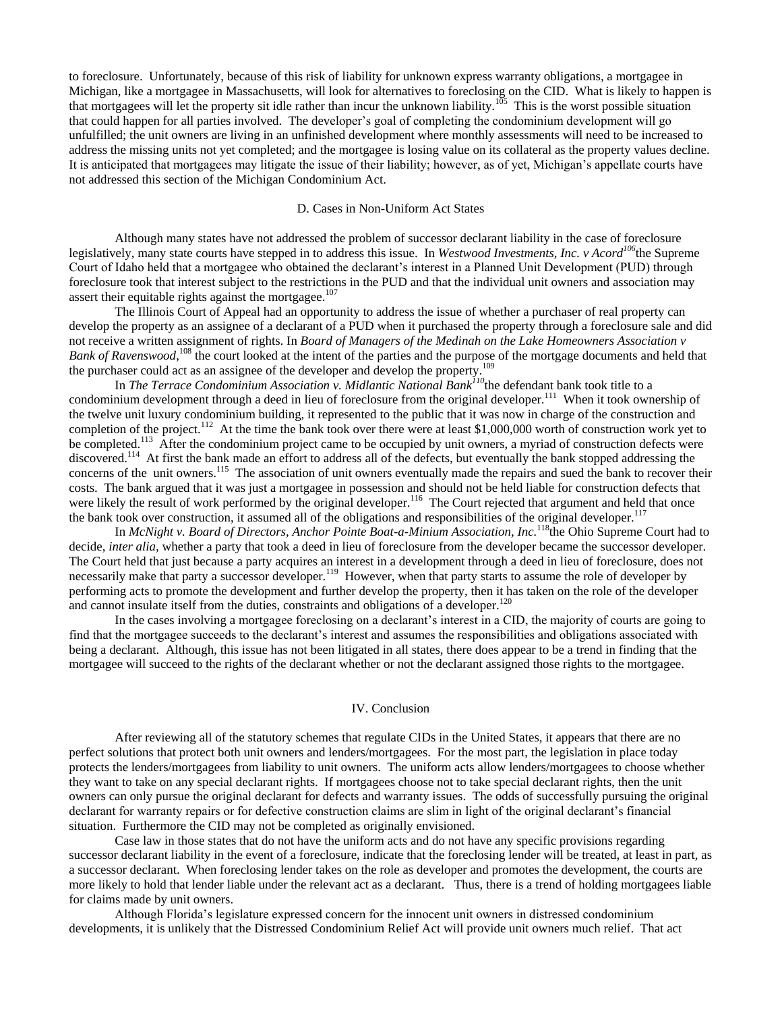to foreclosure. Unfortunately, because of this risk of liability for unknown express warranty obligations, a mortgagee in Michigan, like a mortgagee in Massachusetts, will look for alternatives to foreclosing on the CID. What is likely to happen is that mortgagees will let the property sit idle rather than incur the unknown liability.<sup>105</sup> This is the worst possible situation that could happen for all parties involved. The developer's goal of completing the condominium development will go unfulfilled; the unit owners are living in an unfinished development where monthly assessments will need to be increased to address the missing units not yet completed; and the mortgagee is losing value on its collateral as the property values decline. It is anticipated that mortgagees may litigate the issue of their liability; however, as of yet, Michigan's appellate courts have not addressed this section of the Michigan Condominium Act.

#### D. Cases in Non-Uniform Act States

Although many states have not addressed the problem of successor declarant liability in the case of foreclosure legislatively, many state courts have stepped in to address this issue. In *Westwood Investments, Inc. v Acord<sup>106</sup>*the Supreme Court of Idaho held that a mortgagee who obtained the declarant's interest in a Planned Unit Development (PUD) through foreclosure took that interest subject to the restrictions in the PUD and that the individual unit owners and association may assert their equitable rights against the mortgagee.<sup>107</sup>

The Illinois Court of Appeal had an opportunity to address the issue of whether a purchaser of real property can develop the property as an assignee of a declarant of a PUD when it purchased the property through a foreclosure sale and did not receive a written assignment of rights. In *Board of Managers of the Medinah on the Lake Homeowners Association v*  Bank of Ravenswood,<sup>108</sup> the court looked at the intent of the parties and the purpose of the mortgage documents and held that the purchaser could act as an assignee of the developer and develop the property.<sup>1</sup>

In *The Terrace Condominium Association v. Midlantic National Bank<sup>110</sup>*the defendant bank took title to a condominium development through a deed in lieu of foreclosure from the original developer.<sup>111</sup> When it took ownership of the twelve unit luxury condominium building, it represented to the public that it was now in charge of the construction and completion of the project.<sup>112</sup> At the time the bank took over there were at least \$1,000,000 worth of construction work yet to be completed.<sup>113</sup> After the condominium project came to be occupied by unit owners, a myriad of construction defects were discovered.<sup>114</sup> At first the bank made an effort to address all of the defects, but eventually the bank stopped addressing the concerns of the unit owners.<sup>115</sup> The association of unit owners eventually made the repairs and sued the bank to recover their costs. The bank argued that it was just a mortgagee in possession and should not be held liable for construction defects that were likely the result of work performed by the original developer.<sup>116</sup> The Court rejected that argument and held that once the bank took over construction, it assumed all of the obligations and responsibilities of the original developer. $117$ 

In *McNight v. Board of Directors, Anchor Pointe Boat-a-Minium Association, Inc.*<sup>118</sup>the Ohio Supreme Court had to decide, *inter alia,* whether a party that took a deed in lieu of foreclosure from the developer became the successor developer. The Court held that just because a party acquires an interest in a development through a deed in lieu of foreclosure, does not necessarily make that party a successor developer.<sup>119</sup> However, when that party starts to assume the role of developer by performing acts to promote the development and further develop the property, then it has taken on the role of the developer and cannot insulate itself from the duties, constraints and obligations of a developer.<sup>120</sup>

In the cases involving a mortgagee foreclosing on a declarant's interest in a CID, the majority of courts are going to find that the mortgagee succeeds to the declarant's interest and assumes the responsibilities and obligations associated with being a declarant. Although, this issue has not been litigated in all states, there does appear to be a trend in finding that the mortgagee will succeed to the rights of the declarant whether or not the declarant assigned those rights to the mortgagee.

#### IV. Conclusion

After reviewing all of the statutory schemes that regulate CIDs in the United States, it appears that there are no perfect solutions that protect both unit owners and lenders/mortgagees. For the most part, the legislation in place today protects the lenders/mortgagees from liability to unit owners. The uniform acts allow lenders/mortgagees to choose whether they want to take on any special declarant rights. If mortgagees choose not to take special declarant rights, then the unit owners can only pursue the original declarant for defects and warranty issues. The odds of successfully pursuing the original declarant for warranty repairs or for defective construction claims are slim in light of the original declarant's financial situation. Furthermore the CID may not be completed as originally envisioned.

Case law in those states that do not have the uniform acts and do not have any specific provisions regarding successor declarant liability in the event of a foreclosure, indicate that the foreclosing lender will be treated, at least in part, as a successor declarant. When foreclosing lender takes on the role as developer and promotes the development, the courts are more likely to hold that lender liable under the relevant act as a declarant. Thus, there is a trend of holding mortgagees liable for claims made by unit owners.

Although Florida's legislature expressed concern for the innocent unit owners in distressed condominium developments, it is unlikely that the Distressed Condominium Relief Act will provide unit owners much relief. That act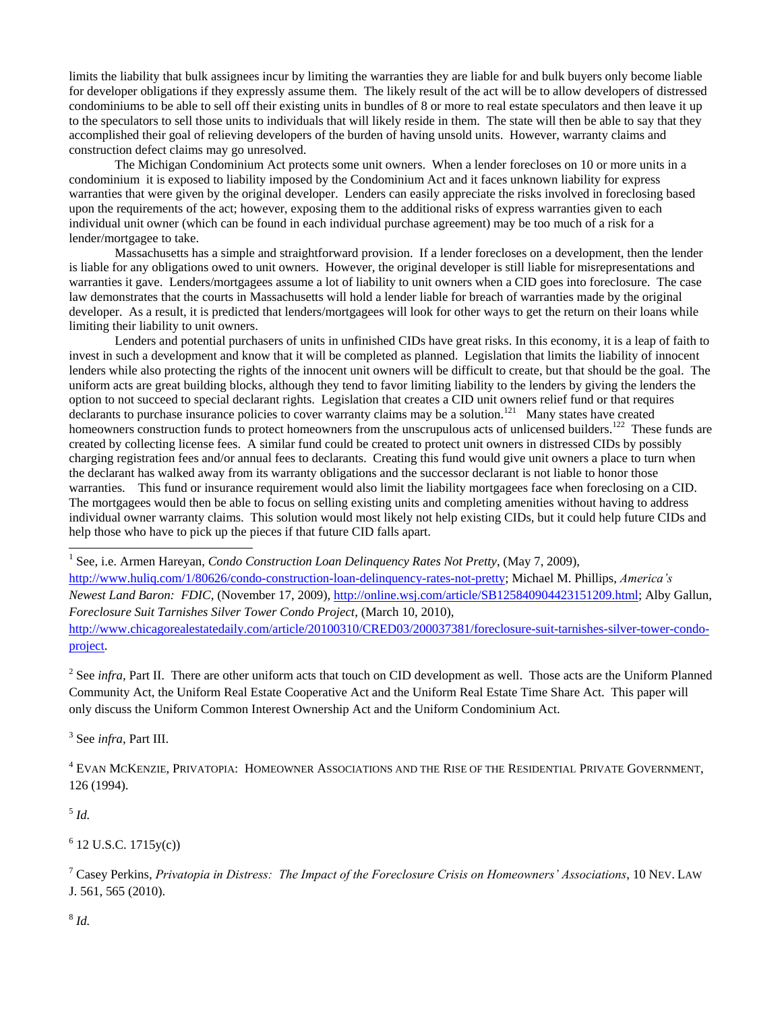limits the liability that bulk assignees incur by limiting the warranties they are liable for and bulk buyers only become liable for developer obligations if they expressly assume them. The likely result of the act will be to allow developers of distressed condominiums to be able to sell off their existing units in bundles of 8 or more to real estate speculators and then leave it up to the speculators to sell those units to individuals that will likely reside in them. The state will then be able to say that they accomplished their goal of relieving developers of the burden of having unsold units. However, warranty claims and construction defect claims may go unresolved.

The Michigan Condominium Act protects some unit owners. When a lender forecloses on 10 or more units in a condominium it is exposed to liability imposed by the Condominium Act and it faces unknown liability for express warranties that were given by the original developer. Lenders can easily appreciate the risks involved in foreclosing based upon the requirements of the act; however, exposing them to the additional risks of express warranties given to each individual unit owner (which can be found in each individual purchase agreement) may be too much of a risk for a lender/mortgagee to take.

Massachusetts has a simple and straightforward provision. If a lender forecloses on a development, then the lender is liable for any obligations owed to unit owners. However, the original developer is still liable for misrepresentations and warranties it gave. Lenders/mortgagees assume a lot of liability to unit owners when a CID goes into foreclosure. The case law demonstrates that the courts in Massachusetts will hold a lender liable for breach of warranties made by the original developer. As a result, it is predicted that lenders/mortgagees will look for other ways to get the return on their loans while limiting their liability to unit owners.

Lenders and potential purchasers of units in unfinished CIDs have great risks. In this economy, it is a leap of faith to invest in such a development and know that it will be completed as planned. Legislation that limits the liability of innocent lenders while also protecting the rights of the innocent unit owners will be difficult to create, but that should be the goal. The uniform acts are great building blocks, although they tend to favor limiting liability to the lenders by giving the lenders the option to not succeed to special declarant rights. Legislation that creates a CID unit owners relief fund or that requires declarants to purchase insurance policies to cover warranty claims may be a solution.<sup>121</sup> Many states have created homeowners construction funds to protect homeowners from the unscrupulous acts of unlicensed builders.<sup>122</sup> These funds are created by collecting license fees. A similar fund could be created to protect unit owners in distressed CIDs by possibly charging registration fees and/or annual fees to declarants. Creating this fund would give unit owners a place to turn when the declarant has walked away from its warranty obligations and the successor declarant is not liable to honor those warranties. This fund or insurance requirement would also limit the liability mortgagees face when foreclosing on a CID. The mortgagees would then be able to focus on selling existing units and completing amenities without having to address individual owner warranty claims. This solution would most likely not help existing CIDs, but it could help future CIDs and help those who have to pick up the pieces if that future CID falls apart.

1 See, i.e. Armen Hareyan, *Condo Construction Loan Delinquency Rates Not Pretty*, (May 7, 2009),

[http://www.huliq.com/1/80626/condo-construction-loan-delinquency-rates-not-pretty;](http://www.huliq.com/1/80626/condo-construction-loan-delinquency-rates-not-pretty) Michael M. Phillips, *America's Newest Land Baron: FDIC*, (November 17, 2009), [http://online.wsj.com/article/SB125840904423151209.html;](http://online.wsj.com/article/SB125840904423151209.html) Alby Gallun, *Foreclosure Suit Tarnishes Silver Tower Condo Project*, (March 10, 2010), [http://www.chicagorealestatedaily.com/article/20100310/CRED03/200037381/foreclosure-suit-tarnishes-silver-tower-condo](http://www.chicagorealestatedaily.com/article/20100310/CRED03/200037381/foreclosure-suit-tarnishes-silver-tower-condo-project)[project.](http://www.chicagorealestatedaily.com/article/20100310/CRED03/200037381/foreclosure-suit-tarnishes-silver-tower-condo-project)

<sup>2</sup> See *infra*, Part II. There are other uniform acts that touch on CID development as well. Those acts are the Uniform Planned Community Act, the Uniform Real Estate Cooperative Act and the Uniform Real Estate Time Share Act. This paper will only discuss the Uniform Common Interest Ownership Act and the Uniform Condominium Act.

3 See *infra,* Part III.

<sup>4</sup> EVAN MCKENZIE, PRIVATOPIA: HOMEOWNER ASSOCIATIONS AND THE RISE OF THE RESIDENTIAL PRIVATE GOVERNMENT, 126 (1994).

5 *Id.*

 $6$  12 U.S.C. 1715y(c))

<sup>7</sup> Casey Perkins, *Privatopia in Distress: The Impact of the Foreclosure Crisis on Homeowners' Associations*, 10 NEV. LAW J. 561, 565 (2010).

8 *Id.*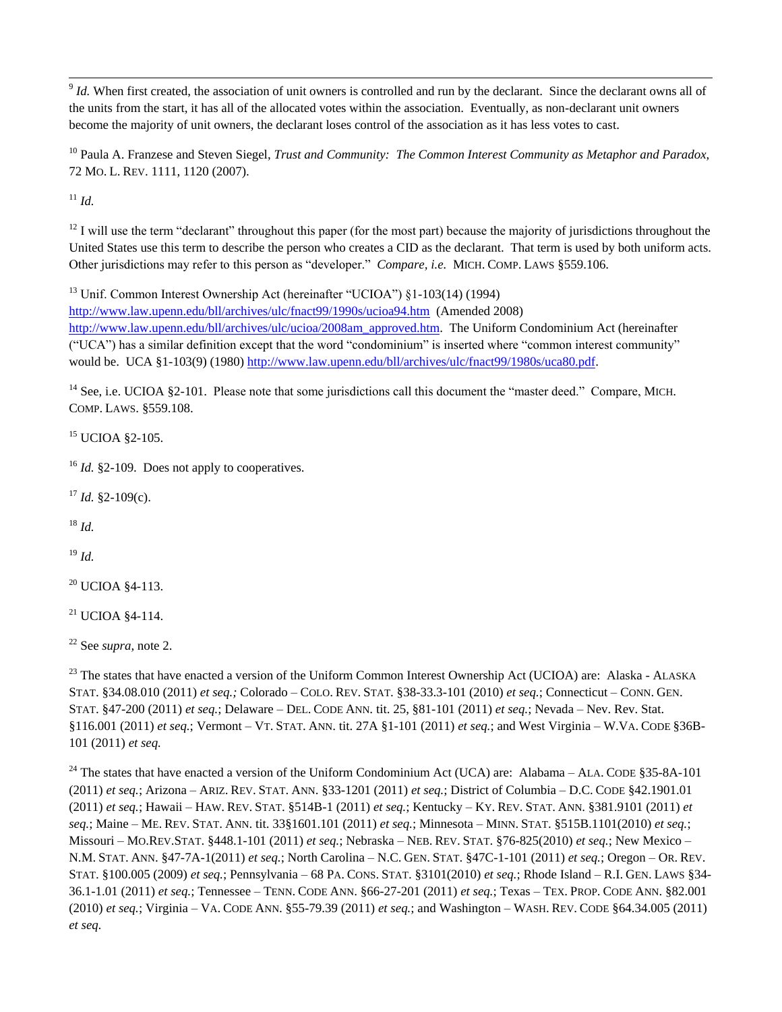$\overline{a}$  $9$  *Id.* When first created, the association of unit owners is controlled and run by the declarant. Since the declarant owns all of the units from the start, it has all of the allocated votes within the association. Eventually, as non-declarant unit owners become the majority of unit owners, the declarant loses control of the association as it has less votes to cast.

<sup>10</sup> Paula A. Franzese and Steven Siegel, *Trust and Community: The Common Interest Community as Metaphor and Paradox,* 72 MO. L. REV. 1111, 1120 (2007).

<sup>11</sup> *Id.*

 $12$  I will use the term "declarant" throughout this paper (for the most part) because the majority of jurisdictions throughout the United States use this term to describe the person who creates a CID as the declarant. That term is used by both uniform acts. Other jurisdictions may refer to this person as "developer." *Compare, i.e.* MICH. COMP. LAWS §559.106.

<sup>13</sup> Unif. Common Interest Ownership Act (hereinafter "UCIOA") §1-103(14) (1994) <http://www.law.upenn.edu/bll/archives/ulc/fnact99/1990s/ucioa94.htm>(Amended 2008) [http://www.law.upenn.edu/bll/archives/ulc/ucioa/2008am\\_approved.htm.](http://www.law.upenn.edu/bll/archives/ulc/ucioa/2008am_approved.htm) The Uniform Condominium Act (hereinafter ("UCA") has a similar definition except that the word "condominium" is inserted where "common interest community" would be. UCA §1-103(9) (1980) http://www.law.upenn.edu/bll/archives/ulc/fnact99/1980s/uca80.pdf.

<sup>14</sup> See, i.e. UCIOA §2-101. Please note that some jurisdictions call this document the "master deed." Compare, MICH. COMP. LAWS. §559.108.

<sup>15</sup> UCIOA §2-105.

<sup>16</sup> *Id.* §2-109. Does not apply to cooperatives.

 $17$  *Id.* §2-109(c).

 $18$  *Id.* 

<sup>19</sup> *Id.*

 $20$  UCIOA §4-113.

 $21$  UCIOA  $84-114$ .

<sup>22</sup> See *supra,* note 2.

<sup>23</sup> The states that have enacted a version of the Uniform Common Interest Ownership Act (UCIOA) are: Alaska - ALASKA STAT. §34.08.010 (2011) *et seq.;* Colorado – COLO. REV. STAT. §38-33.3-101 (2010) *et seq.*; Connecticut – CONN. GEN. STAT. §47-200 (2011) *et seq.*; Delaware – DEL. CODE ANN. tit. 25, §81-101 (2011) *et seq.*; Nevada – Nev. Rev. Stat. §116.001 (2011) *et seq.*; Vermont – VT. STAT. ANN. tit. 27A §1-101 (2011) *et seq.*; and West Virginia – W.VA. CODE §36B-101 (2011) *et seq.*

<sup>24</sup> The states that have enacted a version of the Uniform Condominium Act (UCA) are: Alabama – ALA. CODE §35-8A-101 (2011) *et seq.*; Arizona – ARIZ. REV. STAT. ANN. §33-1201 (2011) *et seq.*; District of Columbia – D.C. CODE §42.1901.01 (2011) *et seq.*; Hawaii – HAW. REV. STAT. §514B-1 (2011) *et seq.*; Kentucky – KY. REV. STAT. ANN. §381.9101 (2011) *et seq.*; Maine – ME. REV. STAT. ANN. tit. 33§1601.101 (2011) *et seq.*; Minnesota – MINN. STAT. §515B.1101(2010) *et seq.*; Missouri – MO.REV.STAT. §448.1-101 (2011) *et seq.*; Nebraska – NEB. REV. STAT. §76-825(2010) *et seq.*; New Mexico – N.M. STAT. ANN. §47-7A-1(2011) *et seq.*; North Carolina – N.C. GEN. STAT. §47C-1-101 (2011) *et seq.*; Oregon – OR. REV. STAT. §100.005 (2009) *et seq.*; Pennsylvania – 68 PA. CONS. STAT. §3101(2010) *et seq.*; Rhode Island – R.I. GEN. LAWS §34- 36.1-1.01 (2011) *et seq.*; Tennessee – TENN. CODE ANN. §66-27-201 (2011) *et seq.*; Texas – TEX. PROP. CODE ANN. §82.001 (2010) *et seq.*; Virginia – VA. CODE ANN. §55-79.39 (2011) *et seq.*; and Washington – WASH. REV. CODE §64.34.005 (2011) *et seq.*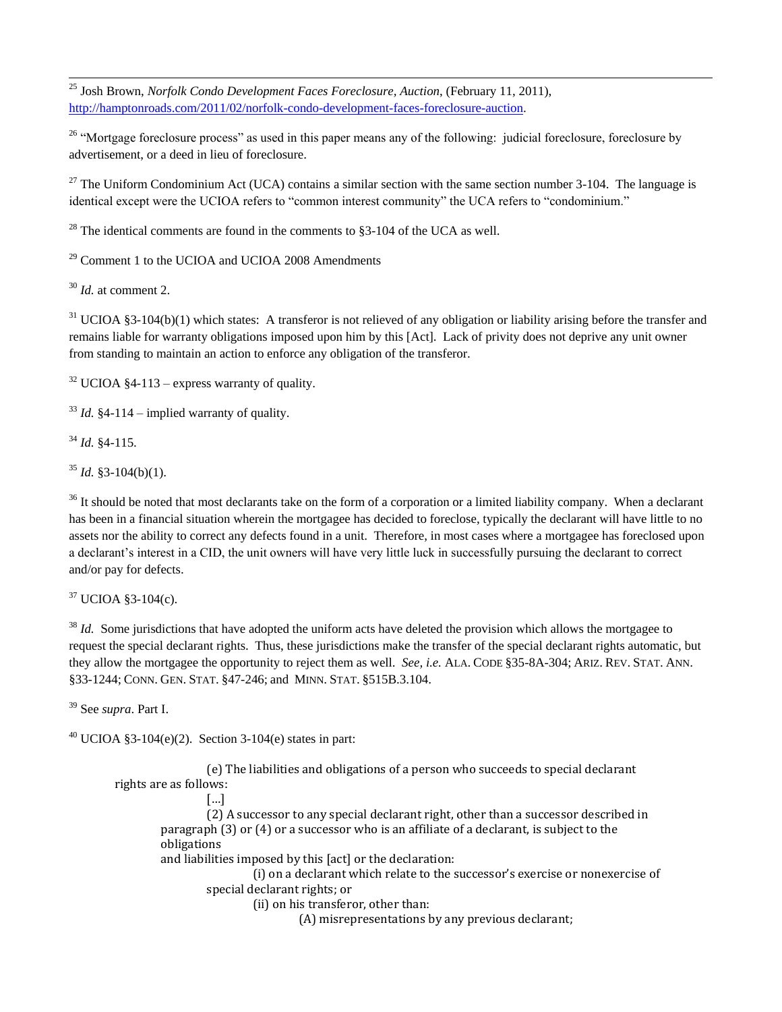$\overline{a}$ <sup>25</sup> Josh Brown, *Norfolk Condo Development Faces Foreclosure, Auction*, (February 11, 2011), [http://hamptonroads.com/2011/02/norfolk-condo-development-faces-foreclosure-auction.](http://hamptonroads.com/2011/02/norfolk-condo-development-faces-foreclosure-auction)

<sup>26</sup> "Mortgage foreclosure process" as used in this paper means any of the following: judicial foreclosure, foreclosure by advertisement, or a deed in lieu of foreclosure.

<sup>27</sup> The Uniform Condominium Act (UCA) contains a similar section with the same section number 3-104. The language is identical except were the UCIOA refers to "common interest community" the UCA refers to "condominium."

<sup>28</sup> The identical comments are found in the comments to  $83-104$  of the UCA as well.

<sup>29</sup> Comment 1 to the UCIOA and UCIOA 2008 Amendments

<sup>30</sup> *Id.* at comment 2.

 $31$  UCIOA §3-104(b)(1) which states: A transferor is not relieved of any obligation or liability arising before the transfer and remains liable for warranty obligations imposed upon him by this [Act]. Lack of privity does not deprive any unit owner from standing to maintain an action to enforce any obligation of the transferor.

 $32$  UCIOA §4-113 – express warranty of quality.

 $33$  *Id.* §4-114 – implied warranty of quality.

<sup>34</sup> *Id.* §4-115.

 $35$  *Id.* §3-104(b)(1).

<sup>36</sup> It should be noted that most declarants take on the form of a corporation or a limited liability company. When a declarant has been in a financial situation wherein the mortgagee has decided to foreclose, typically the declarant will have little to no assets nor the ability to correct any defects found in a unit. Therefore, in most cases where a mortgagee has foreclosed upon a declarant's interest in a CID, the unit owners will have very little luck in successfully pursuing the declarant to correct and/or pay for defects.

<sup>37</sup> UCIOA §3-104(c).

<sup>38</sup> *Id.* Some jurisdictions that have adopted the uniform acts have deleted the provision which allows the mortgagee to request the special declarant rights. Thus, these jurisdictions make the transfer of the special declarant rights automatic, but they allow the mortgagee the opportunity to reject them as well. *See, i.e.* ALA. CODE §35-8A-304; ARIZ. REV. STAT. ANN. §33-1244; CONN. GEN. STAT. §47-246; and MINN. STAT. §515B.3.104.

<sup>39</sup> See *supra*. Part I.

 $40$  UCIOA §3-104(e)(2). Section 3-104(e) states in part:

(e) The liabilities and obligations of a person who succeeds to special declarant rights are as follows: […]

(2) A successor to any special declarant right, other than a successor described in paragraph (3) or (4) or a successor who is an affiliate of a declarant, is subject to the obligations and liabilities imposed by this [act] or the declaration: (i) on a declarant which relate to the successor's exercise or nonexercise of

special declarant rights; or

(ii) on his transferor, other than:

(A) misrepresentations by any previous declarant;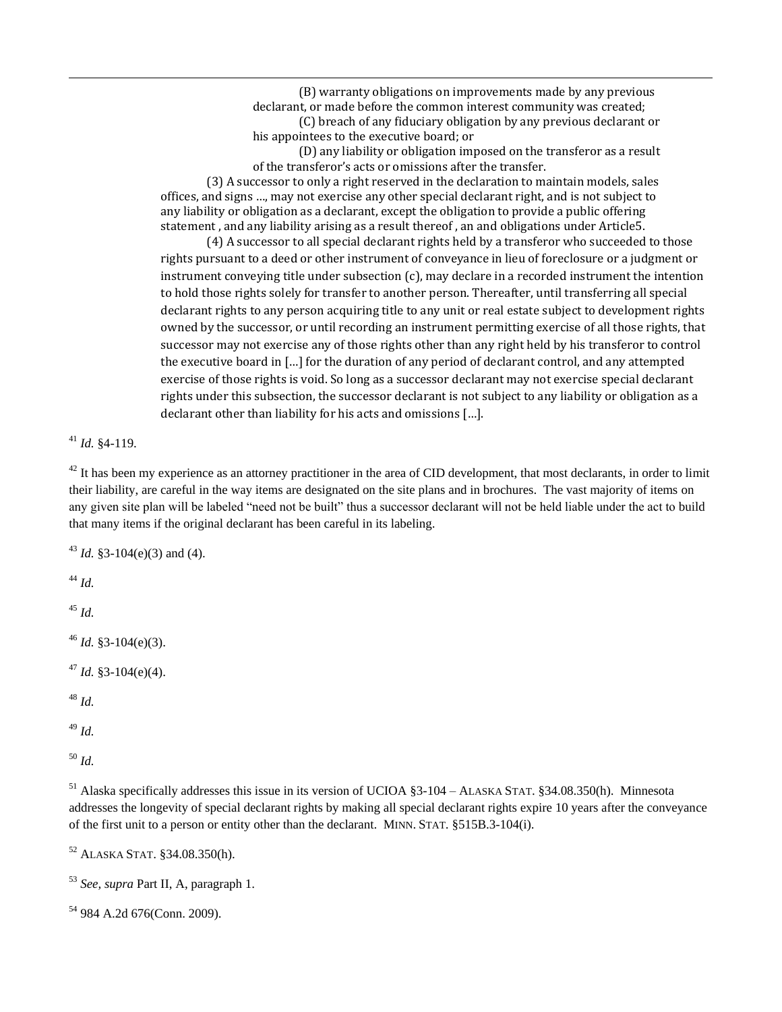(B) warranty obligations on improvements made by any previous declarant, or made before the common interest community was created; (C) breach of any fiduciary obligation by any previous declarant or his appointees to the executive board; or

(D) any liability or obligation imposed on the transferor as a result of the transferor's acts or omissions after the transfer.

(3) A successor to only a right reserved in the declaration to maintain models, sales offices, and signs …, may not exercise any other special declarant right, and is not subject to any liability or obligation as a declarant, except the obligation to provide a public offering statement , and any liability arising as a result thereof , an and obligations under Article5.

(4) A successor to all special declarant rights held by a transferor who succeeded to those rights pursuant to a deed or other instrument of conveyance in lieu of foreclosure or a judgment or instrument conveying title under subsection (c), may declare in a recorded instrument the intention to hold those rights solely for transfer to another person. Thereafter, until transferring all special declarant rights to any person acquiring title to any unit or real estate subject to development rights owned by the successor, or until recording an instrument permitting exercise of all those rights, that successor may not exercise any of those rights other than any right held by his transferor to control the executive board in […] for the duration of any period of declarant control, and any attempted exercise of those rights is void. So long as a successor declarant may not exercise special declarant rights under this subsection, the successor declarant is not subject to any liability or obligation as a declarant other than liability for his acts and omissions […].

<sup>41</sup> *Id.* §4-119.

 $\overline{a}$ 

 $42$  It has been my experience as an attorney practitioner in the area of CID development, that most declarants, in order to limit their liability, are careful in the way items are designated on the site plans and in brochures. The vast majority of items on any given site plan will be labeled "need not be built" thus a successor declarant will not be held liable under the act to build that many items if the original declarant has been careful in its labeling.

<sup>43</sup> *Id.* §3-104(e)(3) and (4). <sup>44</sup> *Id.*  <sup>45</sup> *Id.* <sup>46</sup> *Id.* §3-104(e)(3).  $47$  *Id.* §3-104(e)(4).

<sup>48</sup> *Id.*

<sup>49</sup> *Id.*

<sup>50</sup> *Id.*

 $<sup>51</sup>$  Alaska specifically addresses this issue in its version of UCIOA  $\S3-104 - ALASKA$  STAT.  $\S34.08.350(h)$ . Minnesota</sup> addresses the longevity of special declarant rights by making all special declarant rights expire 10 years after the conveyance of the first unit to a person or entity other than the declarant. MINN. STAT. §515B.3-104(i).

<sup>52</sup> ALASKA STAT. §34.08.350(h).

<sup>53</sup> *See, supra* Part II, A, paragraph 1.

<sup>54</sup> 984 A.2d 676(Conn. 2009).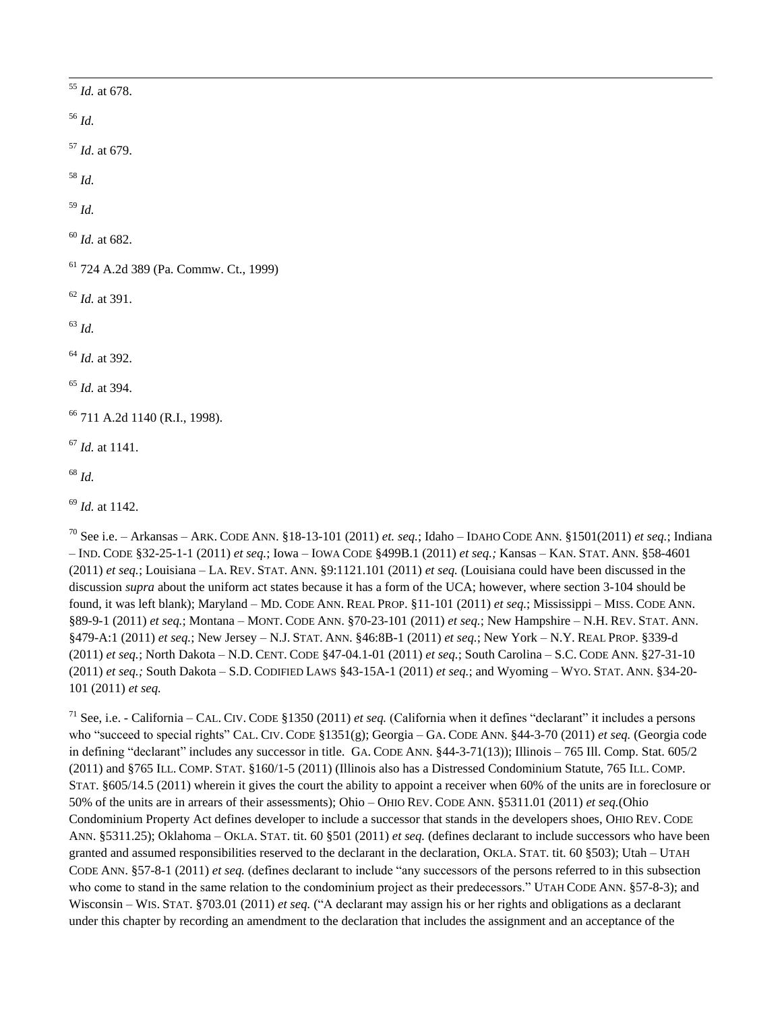|                        | $55$ <i>Id.</i> at 678.                           |
|------------------------|---------------------------------------------------|
| $^{56}$ $\mathit{Id}.$ |                                                   |
|                        | $57$ <i>Id.</i> at 679.                           |
| $^{\rm 58}$ $ld.$      |                                                   |
| $^{59}$ $\mathit{Id}.$ |                                                   |
|                        | $60$ <i>Id.</i> at 682.                           |
|                        | <sup>61</sup> 724 A.2d 389 (Pa. Commw. Ct., 1999) |
|                        | $62$ <i>Id.</i> at 391.                           |
| $^{63}$ $\mathit{Id}.$ |                                                   |
|                        | $64$ <i>Id.</i> at 392.                           |
|                        | $65$ <i>Id.</i> at 394.                           |
|                        | <sup>66</sup> 711 A.2d 1140 (R.I., 1998).         |
|                        | $67$ <i>Id.</i> at 1141.                          |
| $^{68}\,$ Id.          |                                                   |
|                        | $69$ <i>Id.</i> at 1142.                          |

<sup>70</sup> See i.e. – Arkansas – ARK. CODE ANN. §18-13-101 (2011) *et. seq.*; Idaho – IDAHO CODE ANN. §1501(2011) *et seq.*; Indiana – IND. CODE §32-25-1-1 (2011) *et seq.*; Iowa – IOWA CODE §499B.1 (2011) *et seq.;* Kansas – KAN. STAT. ANN. §58-4601 (2011) *et seq.*; Louisiana – LA. REV. STAT. ANN. §9:1121.101 (2011) *et seq.* (Louisiana could have been discussed in the discussion *supra* about the uniform act states because it has a form of the UCA; however, where section 3-104 should be found, it was left blank); Maryland – MD. CODE ANN. REAL PROP. §11-101 (2011) *et seq.*; Mississippi – MISS. CODE ANN. §89-9-1 (2011) *et seq.*; Montana – MONT. CODE ANN. §70-23-101 (2011) *et seq.*; New Hampshire – N.H. REV. STAT. ANN. §479-A:1 (2011) *et seq.*; New Jersey – N.J. STAT. ANN. §46:8B-1 (2011) *et seq.*; New York – N.Y. REAL PROP. §339-d (2011) *et seq.*; North Dakota – N.D. CENT. CODE §47-04.1-01 (2011) *et seq.*; South Carolina – S.C. CODE ANN. §27-31-10 (2011) *et seq.;* South Dakota – S.D. CODIFIED LAWS §43-15A-1 (2011) *et seq.*; and Wyoming – WYO. STAT. ANN. §34-20- 101 (2011) *et seq.*

<sup>71</sup> See, i.e. - California – CAL. CIV. CODE §1350 (2011) *et seq.* (California when it defines "declarant" it includes a persons who "succeed to special rights" CAL. CIV. CODE §1351(g); Georgia – GA. CODE ANN. §44-3-70 (2011) *et seq.* (Georgia code in defining "declarant" includes any successor in title. GA. CODE ANN. §44-3-71(13)); Illinois – 765 Ill. Comp. Stat. 605/2 (2011) and §765 ILL. COMP. STAT. §160/1-5 (2011) (Illinois also has a Distressed Condominium Statute, 765 ILL. COMP. STAT. §605/14.5 (2011) wherein it gives the court the ability to appoint a receiver when 60% of the units are in foreclosure or 50% of the units are in arrears of their assessments); Ohio – OHIO REV. CODE ANN. §5311.01 (2011) *et seq.*(Ohio Condominium Property Act defines developer to include a successor that stands in the developers shoes, OHIO REV. CODE ANN. §5311.25); Oklahoma – OKLA. STAT. tit. 60 §501 (2011) *et seq.* (defines declarant to include successors who have been granted and assumed responsibilities reserved to the declarant in the declaration, OKLA. STAT. tit. 60 §503); Utah – UTAH CODE ANN. §57-8-1 (2011) *et seq.* (defines declarant to include "any successors of the persons referred to in this subsection who come to stand in the same relation to the condominium project as their predecessors." UTAH CODE ANN. §57-8-3); and Wisconsin – WIS. STAT. §703.01 (2011) *et seq.* ("A declarant may assign his or her rights and obligations as a declarant under this chapter by recording an amendment to the declaration that includes the assignment and an acceptance of the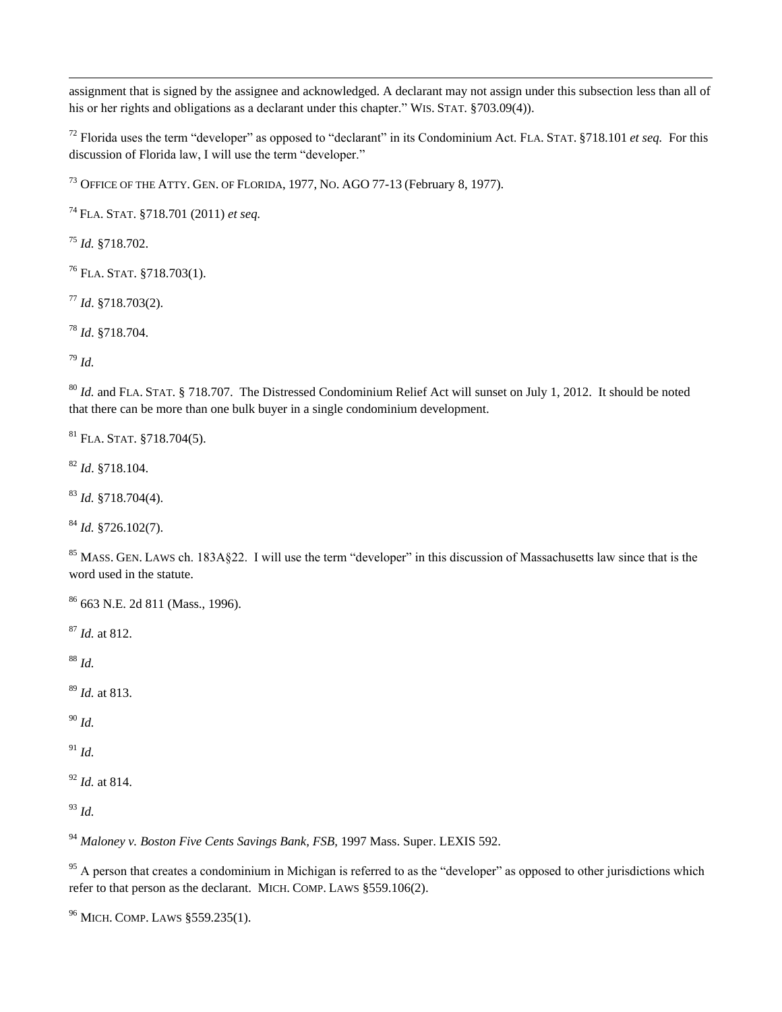assignment that is signed by the assignee and acknowledged. A declarant may not assign under this subsection less than all of his or her rights and obligations as a declarant under this chapter." WIS. STAT. §703.09(4)).

 Florida uses the term "developer" as opposed to "declarant" in its Condominium Act. FLA. STAT. §718.101 *et seq.* For this discussion of Florida law, I will use the term "developer."

<sup>73</sup> OFFICE OF THE ATTY. GEN. OF FLORIDA, 1977, NO. AGO 77-13 (February 8, 1977).

FLA. STAT. §718.701 (2011) *et seq.*

*Id.* §718.702.

FLA. STAT. §718.703(1).

*Id*. §718.703(2).

*Id*. §718.704.

*Id.*

 $\overline{a}$ 

 *Id.* and FLA. STAT. § 718.707. The Distressed Condominium Relief Act will sunset on July 1, 2012. It should be noted that there can be more than one bulk buyer in a single condominium development.

FLA. STAT. §718.704(5).

*Id*. §718.104.

*Id.* §718.704(4).

*Id.* §726.102(7).

<sup>85</sup> MASS. GEN. LAWS ch. 183A§22. I will use the term "developer" in this discussion of Massachusetts law since that is the word used in the statute.

663 N.E. 2d 811 (Mass., 1996).

*Id.* at 812.

*Id.*

*Id.* at 813.

*Id.*

*Id.*

*Id.* at 814.

*Id.*

*Maloney v. Boston Five Cents Savings Bank, FSB,* 1997 Mass. Super. LEXIS 592.

 A person that creates a condominium in Michigan is referred to as the "developer" as opposed to other jurisdictions which refer to that person as the declarant. MICH. COMP. LAWS §559.106(2).

MICH. COMP. LAWS §559.235(1).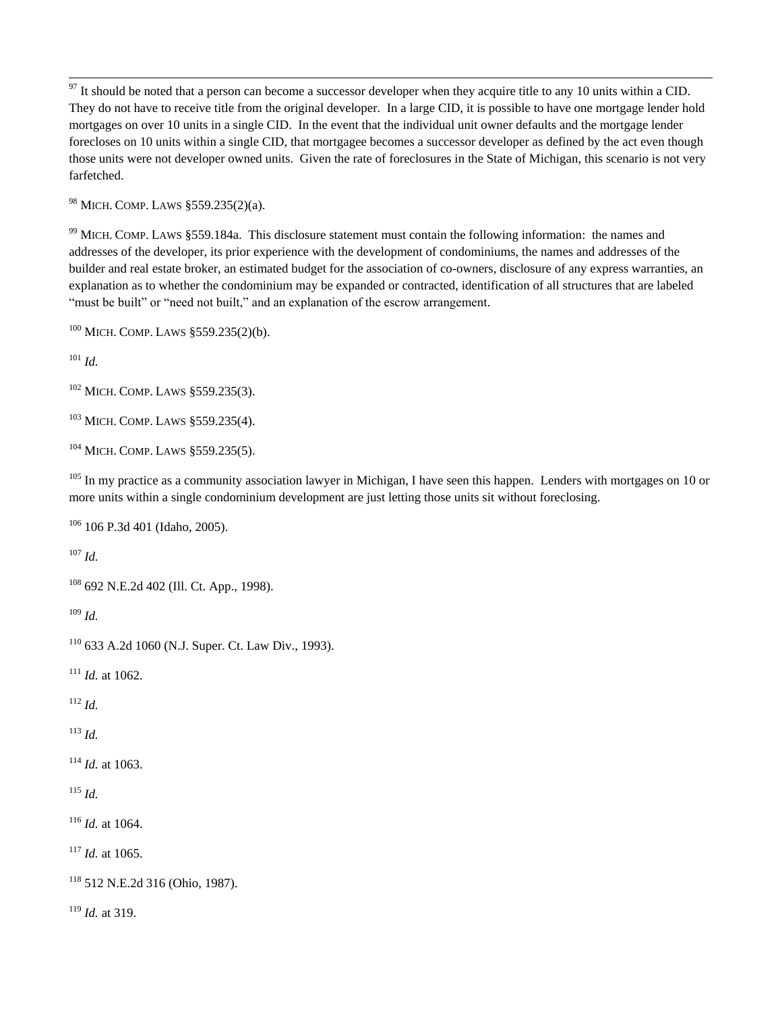$97$  It should be noted that a person can become a successor developer when they acquire title to any 10 units within a CID. They do not have to receive title from the original developer. In a large CID, it is possible to have one mortgage lender hold mortgages on over 10 units in a single CID. In the event that the individual unit owner defaults and the mortgage lender forecloses on 10 units within a single CID, that mortgagee becomes a successor developer as defined by the act even though those units were not developer owned units. Given the rate of foreclosures in the State of Michigan, this scenario is not very farfetched.

<sup>98</sup> MICH. COMP. LAWS §559.235(2)(a).

<sup>99</sup> MICH. COMP. LAWS §559.184a. This disclosure statement must contain the following information: the names and addresses of the developer, its prior experience with the development of condominiums, the names and addresses of the builder and real estate broker, an estimated budget for the association of co-owners, disclosure of any express warranties, an explanation as to whether the condominium may be expanded or contracted, identification of all structures that are labeled "must be built" or "need not built," and an explanation of the escrow arrangement.

<sup>100</sup> MICH. COMP. LAWS §559.235(2)(b).

<sup>101</sup> *Id.*

 $\overline{a}$ 

<sup>102</sup> MICH. COMP. LAWS §559.235(3).

<sup>103</sup> MICH. COMP. LAWS §559.235(4).

<sup>104</sup> MICH. COMP. LAWS §559.235(5).

 $105$  In my practice as a community association lawyer in Michigan, I have seen this happen. Lenders with mortgages on 10 or more units within a single condominium development are just letting those units sit without foreclosing.

<sup>106</sup> 106 P.3d 401 (Idaho, 2005).

<sup>107</sup> *Id.*

```
108 692 N.E.2d 402 (Ill. Ct. App., 1998).
```
<sup>109</sup> *Id.*

<sup>110</sup> 633 A.2d 1060 (N.J. Super. Ct. Law Div., 1993).

 $111$  *Id.* at 1062.

<sup>112</sup> *Id.*

<sup>113</sup> *Id.*

<sup>114</sup> *Id.* at 1063.

 $^{115}$  *Id.* 

<sup>116</sup> *Id.* at 1064.

 $117$  *Id.* at 1065.

<sup>118</sup> 512 N.E.2d 316 (Ohio, 1987).

<sup>119</sup> *Id.* at 319.